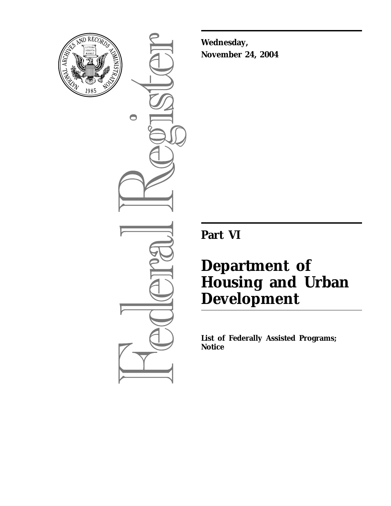

 $\bigcirc$ 

**Wednesday, November 24, 2004**

**Part VI**

# **Department of Housing and Urban Development**

**List of Federally Assisted Programs; Notice**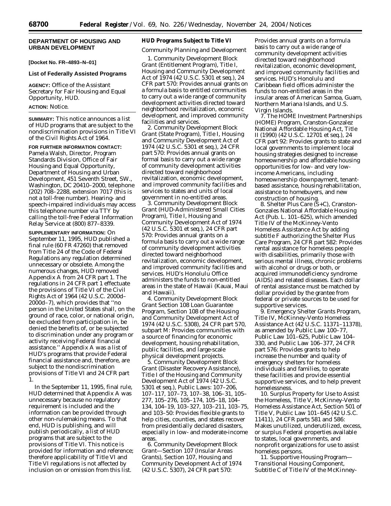# **DEPARTMENT OF HOUSING AND URBAN DEVELOPMENT**

**[Docket No. FR–4893–N–01]** 

#### **List of Federally Assisted Programs**

**AGENCY:** Office of the Assistant Secretary for Fair Housing and Equal Opportunity, HUD.

#### **ACTION:** Notice.

**SUMMARY:** This notice announces a list of HUD programs that are subject to the nondiscrimination provisions in Title VI of the Civil Rights Act of 1964.

**FOR FURTHER INFORMATION CONTACT:** Pamela Walsh, Director, Program Standards Division, Office of Fair Housing and Equal Opportunity, Department of Housing and Urban Development, 451 Seventh Street, SW., Washington, DC 20410–2000, telephone (202) 708–2288, extension 7017 (this is not a toll-free number). Hearing- and speech-impaired individuals may access this telephone number via TTY by calling the toll-free Federal Information Relay Service at (800) 877–8339.

**SUPPLEMENTARY INFORMATION:** On September 11, 1995, HUD published a final rule (60 FR 47260) that removed from Title 24 of the Code of Federal Regulations any regulation determined unnecessary or obsolete. Among the numerous changes, HUD removed Appendix A from 24 CFR part 1. The regulations in 24 CFR part 1 effectuate the provisions of Title VI of the Civil Rights Act of 1964 (42 U.S.C. 2000d– 2000d–7), which provides that ''no person in the United States shall, on the ground of race, color, or national origin, be excluded from participation in, be denied the benefits of, or be subjected to discrimination under any program or activity receiving Federal financial assistance.'' Appendix A was a list of HUD's programs that provide Federal financial assistance and, therefore, are subject to the nondiscrimination provisions of Title VI and 24 CFR part 1.

In the September 11, 1995, final rule, HUD determined that Appendix A was unnecessary because no regulatory requirement is included and the information can be provided through other non-rulemaking means. To that end, HUD is publishing, and will publish periodically, a list of HUD programs that are subject to the provisions of Title VI. This notice is provided for information and reference; therefore applicability of Title VI and Title VI regulations is not affected by inclusion on or omission from this list.

#### **HUD Programs Subject to Title VI**

# *Community Planning and Development*

1. *Community Development Block Grant (Entitlement Program)*, Title I, Housing and Community Development Act of 1974 (42 U.S.C. 5301 *et seq.*), 24 CFR part 570: Provides annual grants on a formula basis to entitled communities to carry out a wide range of community development activities directed toward neighborhood revitalization, economic development, and improved community facilities and services.

2. *Community Development Block Grant (State Program),* Title I, Housing and Community Development Act of 1974 (42 U.S.C. 5301 *et seq.*), 24 CFR part 570: Provides annual grants on formal basis to carry out a wide range of community development activities directed toward neighborhood revitalization, economic development, and improved community facilities and services to states and units of local government in no-entitled areas.

3. *Community Development Block Grant (HUD-Administered Small Cities Program),* Title I, Housing and Community Development Act of 1974 (42 U.S.C. 5301 *et seq.*), 24 CFR part 570: Provides annual grants on a formula basis to carry out a wide range of community development activities directed toward neighborhood revitalization, economic development, and improved community facilities and services. HUD's Honolulu Office administers the funds to non-entitled areas in the state of Hawaii (Kauai, Maui and Hawaii).

4. *Community Development Block Grant Section 108 Loan Guarantee Program,* Section 108 of the Housing and Community Development Act of 1974 (42 U.S.C. 5308), 24 CFR part 570, subpart M: Provides communities with a source of financing for economic development, housing rehabilitation, public facilities, and large-scale physical development projects.

5. *Community Development Block Grant (Disaster Recovery Assistance),* Title I of the Housing and Community Development Act of 1974 (42 U.S.C. 5301 *et seq.*), Public Laws: 107–206, 107–117, 107–73, 107–38, 106–31, 105– 277, 105–276, 105–174, 105–18, 104– 134, 104–19, 103–327, 103–211, 103–75, and 103–50: Provides flexible grants to help cities, counties, and states recover from presidentially declared disasters, especially in low- and moderate-income areas.

6. *Community Development Block Grant—Section 107 (Insular Areas Grants),* Section 107, Housing and Community Development Act of 1974 (42 U.S.C. 5307), 24 CFR part 570:

Provides annual grants on a formula basis to carry out a wide range of community development activities directed toward neighborhood revitalization, economic development, and improved community facilities and services. HUD's Honolulu and Caribbean field offices administer the funds to non-entitled areas in the insular areas of American Samoa, Guam, Northern Mariana Islands, and U.S. Virgin Islands.

7. *The HOME Investment Partnerships (HOME) Program,* Cranston-Gonzalez National Affordable Housing Act, Title II (1990) (42 U.S.C. 12701 *et seq.*), 24 CFR part 92: Provides grants to state and local governments to implement local housing strategies designed to increase homeownership and affordable housing opportunities for low- and very lowincome Americans, including homeownership downpayment, tenantbased assistance, housing rehabilitation, assistance to homebuyers, and new construction of housing.

8. *Shelter Plus Care (S+C),* Cranston-Gonzales National Affordable Housing Act (Pub. L. 101–625), which amended Title IV of the McKinney-Vento Homeless Assistance Act by adding subtitle F authorizing the Shelter Plus Care Program, 24 CFR part 582: Provides rental assistance for homeless people with disabilities, primarily those with serious mental illness, chronic problems with alcohol or drugs or both, or acquired immunodeficiency syndrome (AIDS) and related diseases. Each dollar of rental assistance must be matched by dollar provided by the grantee from federal or private sources to be used for supportive services.

9. *Emergency Shelter Grants Program,* Title IV, McKinney-Vento Homeless Assistance Act (42 U.S.C. 11371–11378), as amended by Public Law 100–77, Public Law 101–625, Public Law 104– 330, and Public Law 106–377, 24 CFR part 576: Provides grants to help increase the number and quality of emergency shelters for homeless individuals and families, to operate these facilities and provide essential supportive services, and to help prevent homelessness.

10. *Surplus Property for Use to Assist the Homeless,* Title V, McKinney-Vento Homeless Assistance Act, Section 501 of Title V, Public Law 101–645 (42 U.S.C. 11411), 24 CFR parts 581 and 586: Makes unutilized, underutilized, excess, or surplus Federal properties available to states, local governments, and nonprofit organizations for use to assist homeless persons.

11. *Supportive Housing Program— Transitional Housing Component,* Subtitle C of Title IV of the McKinney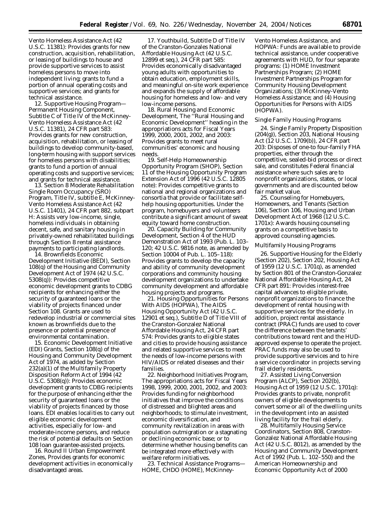Vento Homeless Assistance Act (42 U.S.C. 11381): Provides grants for new construction, acquisition, rehabilitation, or leasing of buildings to house and provide supportive services to assist homeless persons to move into independent living; grants to fund a portion of annual operating costs and supportive services; and grants for technical assistance.

12. *Supportive Housing Program— Permanent Housing Component,* Subtitle C of Title IV of the McKinney-Vento Homeless Assistance Act (42 U.S.C. 11381), 24 CFR part 583: Provides grants for new construction, acquisition, rehabilitation, or leasing of buildings to develop community-based, long-term housing with support services for homeless persons with disabilities; grants to fund a portion of annual operating costs and supportive services; and grants for technical assistance.

13. *Section 8 Moderate Rehabilitation Single Room Occupancy (SRO) Program,* Title IV, subtitle E, McKinney-Vento Homeless Assistance Act (42 U.S.C. 11401), 24 CFR part 882, subpart H: Assists very low-income, single, homeless individuals in obtaining decent, safe, and sanitary housing in privately-owned rehabilitated buildings through Section 8 rental assistance payments to participating landlords. 14. *Brownfields Economic* 

*Development Initiative (BEDI),* Section 108(q) of the Housing and Community Development Act of 1974 (42 U.S.C. 5308(q)): Provides competitive economic development grants to CDBG recipients for enhancing either the security of guaranteed loans or the viability of projects financed under Section 108. Grants are used to redevelop industrial or commercial sites known as brownfields due to the presence or potential presence of environmental contamination.

15. *Economic Development Initiative (EDI) Grants,* Section 108(q) of the Housing and Community Development Act of 1974, as added by Section 232(a)(1) of the Multifamily Property Disposition Reform Act of 1994 (42 U.S.C. 5308(q)): Provides economic development grants to CDBG recipients for the purpose of enhancing either the security of guaranteed loans or the viability of projects financed by those loans. EDI enables localities to carry out eligible economic development activities, especially for low- and moderate-income persons, and reduce the risk of potential defaults on Section 108 loan guarantee-assisted projects.

16. *Round II Urban Empowerment Zones,* Provides grants for economic development activities in economically disadvantaged areas.

17. *Youthbuild,* Subtitle D of Title IV of the Cranston-Gonzales National Affordable Housing Act (42 U.S.C. 12899 *et seq.*), 24 CFR part 585: Provides economically disadvantaged young adults with opportunities to obtain education, employment skills, and meaningful on-site work experience and expands the supply of affordable housing for homeless and low- and very low-income persons.

18. *Rural Housing and Economic Development,* The ''Rural Housing and Economic Development'' heading in the appropriations acts for Fiscal Years 1999, 2000, 2001, 2002, and 2003: Provides grants to meet rural communities' economic and housing needs.

19. *Self-Help Homeownership Opportunity Program (SHOP),* Section 11 of the Housing Opportunity Program Extension Act of 1996 (42 U.S.C. 12805 note): Provides competitive grants to national and regional organizations and consortia that provide or facilitate selfhelp housing opportunities. Under the program, homebuyers and volunteers contribute a significant amount of sweat equity toward home construction.

20. *Capacity Building for Community Development,* Section 4 of the HUD Demonstration Act of 1993 (Pub. L. 103– 120; 42 U.S.C. 9816 note, as amended by Section 10004 of Pub. L. 105–118): Provides grants to develop the capacity and ability of community development corporations and community housing development organizations to undertake community development and affordable housing projects and programs.

21. *Housing Opportunities for Persons With AIDS (HOPWA),* The AIDS Housing Opportunity Act (42 U.S.C. 12901 *et seq.*), Subtitle D of Title VIII of the Cranston-Gonzalez National Affordable Housing Act, 24 CFR part 574: Provides grants to eligible states and cities to provide housing assistance and related supportive services to meet the needs of low-income persons with HIV/AIDS or related diseases and their families.

22. *Neighborhood Initiatives Program,* The appropriations acts for Fiscal Years 1998, 1999, 2000, 2001, 2002, and 2003: Provides funding for neighborhood initiatives that improve the conditions of distressed and blighted areas and neighborhoods; to stimulate investment, economic diversification, and community revitalization in areas with population outmigration or a stagnating or declining economic base; or to determine whether housing benefits can be integrated more effectively with welfare reform initiatives.

23. *Technical Assistance Programs— HOME, CHDO (HOME), McKinney-*

*Vento Homeless Assistance, and HOPWA:* Funds are available to provide technical assistance, under cooperative agreements with HUD, for four separate programs: (1) HOME Investment Partnerships Program; (2) HOME Investment Partnerships Program for Community Housing Development Organizations; (3) McKinney-Vento Homeless Assistance; and (4) Housing Opportunities for Persons with AIDS (HOPWA).

## *Single Family Housing Programs*

24. *Single Family Property Disposition (204(g)),* Section 203, National Housing Act (12 U.S.C. 1709(b)), 24 CFR part 203: Disposes of one-to four-family FHA properties, either through the competitive, sealed-bid process or direct sale, and constitutes Federal financial assistance where such sales are to nonprofit organizations, states, or local governments and are discounted below fair market value.

25. *Counseling for Homebuyers, Homeowners, and Tenants (Section 106),* Section 106, Housing and Urban Development Act of 1968 (12 U.S.C. 1701x): Awards housing counseling grants on a competitive basis to approved counseling agencies.

# *Multifamily Housing Programs*

26. *Supportive Housing for the Elderly (Section 202),* Section 202, Housing Act of 1959 (12 U.S.C. 1701q), as amended by Section 801 of the Cranston-Gonzalez National Affordable Housing Act, 24 CFR part 891: Provides interest-free capital advances to eligible private, nonprofit organizations to finance the development of rental housing with supportive services for the elderly. In addition, project rental assistance contract (PRAC) funds are used to cover the difference between the tenants' contributions toward rent and the HUDapproved expense to operate the project. PRAC funds may also be used to provide supportive services and to hire a service coordinator in projects serving frail elderly residents.

27. *Assisted Living Conversion Program (ALCP),* Section 202(b), Housing Act of 1959 (12 U.S.C. 1701q): Provides grants to private, nonprofit owners of eligible developments to convert some or all of the dwelling units in the development into an assisted living facility for the frail elderly.

28. *Multifamily Housing Service Coordinators,* Section 808, Cranston-Gonzalez National Affordable Housing Act (42 U.S.C. 8012), as amended by the Housing and Community Development Act of 1992 (Pub. L. 102–550) and the American Homeownership and Economic Opportunity Act of 2000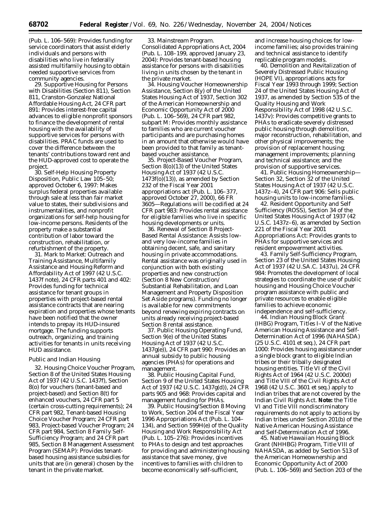(Pub. L. 106–569): Provides funding for service coordinators that assist elderly individuals and persons with disabilities who live in federally assisted multifamily housing to obtain needed supportive services from community agencies.

29. *Supportive Housing for Persons with Disabilities (Section 811),* Section 811, Cranston-Gonzalez National Affordable Housing Act, 24 CFR part 891: Provides interest-free capital advances to eligible nonprofit sponsors to finance the development of rental housing with the availability of supportive services for persons with disabilities. PRAC funds are used to cover the difference between the tenants' contributions toward rent and the HUD-approved cost to operate the project.

30. *Self-Help Housing Property Disposition,* Public Law 105–50; approved October 6, 1997: Makes surplus federal properties available through sale at less than fair market value to states, their subdivisions and instrumentalities, and nonprofit organizations for self-help housing for low-income persons. Residents of the property make a substantial contribution of labor toward the construction, rehabilitation, or refurbishment of the property.

31. *Mark to Market: Outreach and Training Assistance,* Multifamily Assistance and Housing Reform and Affordability Act of 1997 (42 U.S.C. 1437f note), 24 CFR parts 401 and 402: Provides funding for technical assistance for tenant groups in properties with project-based rental assistance contracts that are nearing expiration and properties whose tenants have been notified that the owner intends to prepay its HUD-insured mortgage. The funding supports outreach, organizing, and training activities for tenants in units receiving HUD assistance.

#### *Public and Indian Housing*

32. *Housing Choice Voucher Program,* Section 8 of the United States Housing Act of 1937 (42 U.S.C. 1437f), Section 8(o) for vouchers (tenant-based and project-based) and Section 8(t) for enhanced vouchers, 24 CFR part 5 (certain cross-cutting requirements); 24 CFR part 982, Tenant-based Housing Choice Voucher Program; 24 CFR part 983, Project-based Voucher Program; 24 CFR part 984, Section 8 Family Self-Sufficiency Program; and 24 CFR part 985, Section 8 Management Assessment Program (SEMAP): Provides tenantbased housing assistance subsidies for units that are (in general) chosen by the tenant in the private market.

33. *Mainstream Program.* Consolidated Appropriations Act, 2004 (Pub. L. 108–199, approved January 23, 2004): Provides tenant-based housing assistance for persons with disabilities living in units chosen by the tenant in the private market.

34. *Housing Voucher Homeownership Assistance,* Section 8(y) of the United States Housing Act of 1937, Section 302 of the American Homeownership and Economic Opportunity Act of 2000 (Pub. L. 106–569), 24 CFR part 982, subpart M: Provides monthly assistance to families who are current voucher participants and are purchasing homes in an amount that otherwise would have been provided to that family as tenantbased voucher assistance.

35. *Project-Based Voucher Program,* Section 8(o)(13) of the United States Housing Act of 1937 (42 U.S.C. 1473f(o)(13)), as amended by Section 232 of the Fiscal Year 2001 appropriations act (Pub. L. 106–377, approved October 27, 2000), 66 FR 3605—Regulations will be codified at 24 CFR part 983: Provides rental assistance for eligible families who live in specific housing developments or units.

36. *Renewal of Section 8 Project-Based Rental Assistance:* Assists lowand very low-income families in obtaining decent, safe, and sanitary housing in private accommodations. Rental assistance was originally used in conjunction with both existing properties and new construction (Section 8 New Construction/ Substantial Rehabilitation, and Loan Management and Property Disposition Set Aside programs). Funding no longer is available for new commitments beyond renewing expiring contracts on units already receiving project-based Section 8 rental assistance.

37. *Public Housing Operating Fund,* Section 9(e) of the United States Housing Act of 1937 (42 U.S.C. 1437g(e)), 24 CFR part 990: Provides an annual subsidy to public housing agencies (PHAs) for operations and management.

38. *Public Housing Capital Fund,* Section 9 of the United States Housing Act of 1937 (42 U.S.C. 1437g(d)), 24 CFR parts 905 and 968: Provides capital and management funding for PHAs.

39. *Public Housing/Section 8 Moving to Work,* Section 204 of the Fiscal Year 1996 Appropriations Act (Pub. L. 104– 134), and Section 599H(e) of the Quality Housing and Work Responsibility Act (Pub. L. 105–276): Provides incentives to PHAs to design and test approaches for providing and administering housing assistance that save money, give incentives to families with children to become economically self-sufficient,

and increase housing choices for lowincome families; also provides training and technical assistance to identify replicable program models.

40. *Demolition and Revitalization of Severely Distressed Public Housing (HOPE VI),* appropriations acts for Fiscal Year 1993 through 1999; Section 24 of the United States Housing Act of 1937, as amended by Section 535 of the Quality Housing and Work Responsibility Act of 1998 (42 U.S.C. 1437v): Provides competitive grants to PHAs to eradicate severely distressed public housing through demolition, major reconstruction, rehabilitation, and other physical improvements; the provision of replacement housing; management improvements; planning and technical assistance; and the provision of supportive services.

41. *Public Housing Homeownership— Section 32,* Section 32 of the United States Housing Act of 1937 (42 U.S.C. 1437z–4), 24 CFR part 906: Sells public housing units to low-income families.

42. *Resident Opportunity and Self Sufficiency (ROSS),* Section 34 of the United States Housing Act of 1937 (42 U.S.C. 1437z–6), as amended by Section 221 of the Fiscal Year 2001 Appropriations Act: Provides grants to PHAs for supportive services and resident empowerment activities.

43. *Family Self-Sufficiency Program,* Section 23 of the United States Housing Act of 1937 (42 U.SA.C. 1437u), 24 CFR 984: Promotes the development of local strategies to coordinate the use of public housing and Housing Choice Voucher program assistance with public and private resources to enable eligible families to achieve economic independence and self-sufficiency.

44. *Indian Housing Block Grant (IHBG) Program,* Titles I–V of the Native American Housing Assistance and Self-Determination Act of 1996 (NAHASDA) (25 U.S.C. 4101 *et seq.*), 24 CFR part 1000: Provides housing assistance under a single block grant to eligible Indian tribes or their tribally designated housing entities. Title VI of the Civil Rights Act of 1964 (42 U.S.C. 2000d) and Title VIII of the Civil Rights Act of 1968 (42 U.S.C. 3601 *et seq.*) apply to Indian tribes that are not covered by the Indian Civil Rights Act. **Note:** the Title VI and Title VIII nondiscriminatory requirements do not apply to actions by Indian tribes under Section 201(b) of the Native American Housing Assistance and Self-Determination Act of 1996.

45. *Native Hawaiian Housing Block Grant (NHHBG) Program,* Title VIII of NAHASDA, as added by Section 513 of the American Homeownership and Economic Opportunity Act of 2000 (Pub. L. 106–569) and Section 203 of the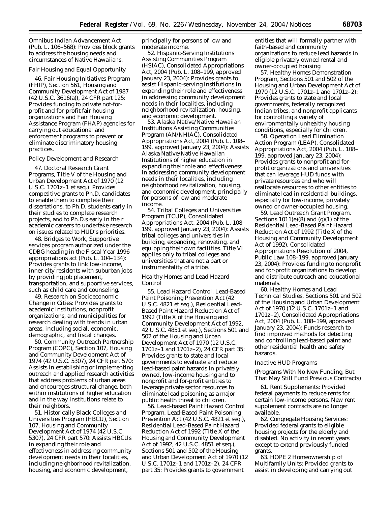Omnibus Indian Advancement Act (Pub. L. 106–568): Provides block grants to address the housing needs and circumstances of Native Hawaiians.

# *Fair Housing and Equal Opportunity*

46. *Fair Housing Initiatives Program (FHIP),* Section 561, Housing and Community Development Act of 1987 (42 U.S.C. 3616(a)), 24 CFR part 125: Provides funding to private not-forprofit and for-profit fair housing organizations and Fair Housing Assistance Program (FHAP) agencies for carrying out educational and enforcement programs to prevent or eliminate discriminatory housing practices.

#### *Policy Development and Research*

47. *Doctoral Research Grant Programs,* Title V of the Housing and Urban Development Act of 1970 (12 U.S.C. 1701z–1 *et seq.*): Provides competitive grants to Ph.D. candidates to enable them to complete their dissertations, to Ph.D. students early in their studies to complete research projects, and to Ph.D.s early in their academic careers to undertake research on issues related to HUD's priorities.

48. *Bridges to Work,* Supportive services program authorized under the CDBG heading in the Fiscal Year 1996 appropriations act (Pub. L. 104–134): Provides grants to link low-income, inner-city residents with suburban jobs by providing job placement, transportation, and supportive services, such as child care and counseling.

49. *Research on Socioeconomic Change in Cities:* Provides grants to academic institutions, nonprofit organizations, and municipalities for research dealing with trends in urban areas, including social, economic, demographic, and fiscal changes.

50. *Community Outreach Partnership Program (COPC),* Section 107, Housing and Community Development Act of 1974 (42 U.S.C. 5307), 24 CFR part 570: Assists in establishing or implementing outreach and applied research activities that address problems of urban areas and encourages structural change, both within institutions of higher education and in the way institutions relate to their neighbors.

51. *Historically Black Colleges and Universities Program (HBCU),* Section 107, Housing and Community Development Act of 1974 (42 U.S.C. 5307), 24 CFR part 570: Assists HBCUs in expanding their role and effectiveness in addressing community development needs in their localities, including neighborhood revitalization, housing, and economic development,

principally for persons of low and moderate income.

52. *Hispanic-Serving Institutions Assisting Communities Program (HSIAC),* Consolidated Appropriations Act, 2004 (Pub. L. 108–199, approved January 23, 2004): Provides grants to assist Hispanic-serving institutions in expanding their role and effectiveness in addressing community development needs in their localities, including neighborhood revitalization, housing, and economic development.

53. *Alaska Native/Native Hawaiian Institutions Assisting Communities Program (AN/NHIAC),* Consolidated Appropriations Act, 2004 (Pub. L. 108– 199, approved January 23, 2004): Assists Alaska Native/Native Hawaiian Institutions of higher education in expanding their role and effectiveness in addressing community development needs in their localities, including neighborhood revitalization, housing, and economic development, principally for persons of low and moderate income.

54. *Tribal Colleges and Universities Program (TCUP),* Consolidated Appropriations Act, 2004 (Pub. L. 108– 199, approved January 23, 2004): Assists tribal colleges and universities in building, expanding, renovating, and equipping their own facilities. Title VI applies only to tribal colleges and universities that are not a part or instrumentality of a tribe.

# *Healthy Homes and Lead Hazard Control*

55. *Lead Hazard Control,* Lead-Based Paint Poisoning Prevention Act (42 U.S.C. 4821 *et seq.*), Residential Lead-Based Paint Hazard Reduction Act of 1992 (Title X of the Housing and Community Development Act of 1992, 42 U.S.C. 4851 *et seq.*), Sections 501 and 502 of the Housing and Urban Development Act of 1970 (12 U.S.C. 1701z–1 and 1701z–2), 24 CFR part 35: Provides grants to state and local governments to evaluate and reduce lead-based paint hazards in privately owned, low-income housing and to nonprofit and for-profit entities to leverage private sector resources to eliminate lead poisoning as a major public health threat to children.

56. *Lead-based Paint Hazard Control Program,* Lead-Based Paint Poisoning Prevention Act (42 U.S.C. 4821 *et seq.*), Residential Lead-Based Paint Hazard Reduction Act of 1992 (Title X of the Housing and Community Development Act of 1992, 42 U.S.C. 4851 *et seq.*), Sections 501 and 502 of the Housing and Urban Development Act of 1970 (12 U.S.C. 1701z–1 and 1701z–2), 24 CFR part 35: Provides grants to government

entities that will formally partner with faith-based and community organizations to reduce lead hazards in eligible privately owned rental and owner-occupied housing

57. *Healthy Homes Demonstration Program,* Sections 501 and 502 of the Housing and Urban Development Act of 1970 (12 U.S.C. 1701z–1 and 1701z–2): Provides grants to state and local governments, federally recognized Indian tribes, and nonprofit applicants for controlling a variety of environmentally unhealthy housing conditions, especially for children.

58. *Operation Lead Elimination Action Program (LEAP),* Consolidated Appropriations Act, 2004 (Pub. L. 108– 199, approved January 23, 2004): Provides grants to nonprofit and forprofit organizations and universities that can leverage HUD funds with private resources and who will reallocate resources to other entities to eliminate lead in residential buildings, especially for low-income, privately owned or owner-occupied housing.

59. *Lead Outreach Grant Program,* Sections  $1011(e)(8)$  and  $(g)(1)$  of the Residential Lead-Based Paint Hazard Reduction Act of 1992 (Title X of the Housing and Community Development Act of 1992), Consolidated Appropriations Resolution of 2004, Public Law 108–199, approved January 23, 2004): Provides funding to nonprofit and for-profit organizations to develop and distribute outreach and educational materials.

60. *Healthy Homes and Lead Technical Studies,* Sections 501 and 502 of the Housing and Urban Development Act of 1970 (12 U.S.C. 1701z–1 and 1701z–2), Consolidated Appropriations Act, 2004 (Pub. L. 108–199, approved January 23, 2004): Funds research to find improved methods for detecting and controlling lead-based paint and other residential health and safety hazards.

#### *Inactive HUD Programs*

# *(Programs With No New Funding, But That May Still Fund Previous Contracts)*

61. *Rent Supplements:* Provided federal payments to reduce rents for certain low-income persons. New rent supplement contracts are no longer available.

62. *Congregate Housing Services:* Provided federal grants to eligible housing projects for the elderly and disabled. No activity in recent years except to extend previously funded grants.

63. *HOPE 2 Homeownership of Multifamily Units:* Provided grants to assist in developing and carrying out